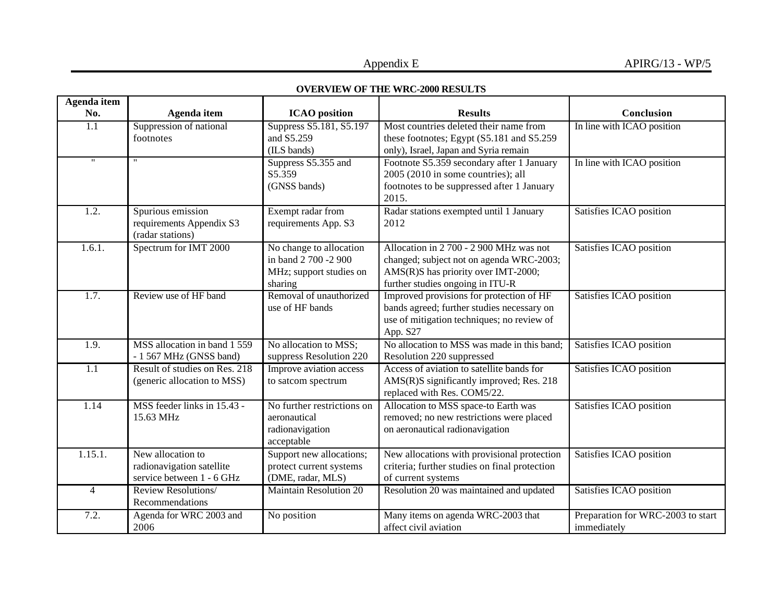## **OVERVIEW OF THE WRC-2000 RESULTS**

| <b>OVERVIEW OF THE WRC-2000 RESULTS</b> |                                                                             |                                                                                       |                                                                                                                                                                |                                                  |
|-----------------------------------------|-----------------------------------------------------------------------------|---------------------------------------------------------------------------------------|----------------------------------------------------------------------------------------------------------------------------------------------------------------|--------------------------------------------------|
| <b>Agenda</b> item<br>No.               | Agenda item                                                                 | <b>ICAO</b> position                                                                  | <b>Results</b>                                                                                                                                                 | Conclusion                                       |
| 1.1                                     | Suppression of national<br>footnotes                                        | Suppress S5.181, S5.197<br>and S5.259<br>(ILS bands)                                  | Most countries deleted their name from<br>these footnotes; Egypt (S5.181 and S5.259)<br>only), Israel, Japan and Syria remain                                  | In line with ICAO position                       |
| $^{\prime\prime}$                       | $^{\prime\prime}$                                                           | Suppress S5.355 and<br>S5.359<br>(GNSS bands)                                         | Footnote S5.359 secondary after 1 January<br>2005 (2010 in some countries); all<br>footnotes to be suppressed after 1 January<br>2015.                         | In line with ICAO position                       |
| 1.2.                                    | Spurious emission<br>requirements Appendix S3<br>(radar stations)           | Exempt radar from<br>requirements App. S3                                             | Radar stations exempted until 1 January<br>2012                                                                                                                | Satisfies ICAO position                          |
| 1.6.1.                                  | Spectrum for IMT 2000                                                       | No change to allocation<br>in band 2 700 -2 900<br>MHz; support studies on<br>sharing | Allocation in 2 700 - 2 900 MHz was not<br>changed; subject not on agenda WRC-2003;<br>AMS(R)S has priority over IMT-2000;<br>further studies ongoing in ITU-R | Satisfies ICAO position                          |
| 1.7.                                    | Review use of HF band                                                       | Removal of unauthorized<br>use of HF bands                                            | Improved provisions for protection of HF<br>bands agreed; further studies necessary on<br>use of mitigation techniques; no review of<br>App. S27               | Satisfies ICAO position                          |
| 1.9.                                    | MSS allocation in band 1 559<br>- 1 567 MHz (GNSS band)                     | No allocation to MSS;<br>suppress Resolution 220                                      | No allocation to MSS was made in this band;<br>Resolution 220 suppressed                                                                                       | Satisfies ICAO position                          |
| 1.1                                     | Result of studies on Res. 218<br>(generic allocation to MSS)                | Improve aviation access<br>to satcom spectrum                                         | Access of aviation to satellite bands for<br>AMS(R)S significantly improved; Res. 218<br>replaced with Res. COM5/22.                                           | Satisfies ICAO position                          |
| 1.14                                    | MSS feeder links in 15.43 -<br>15.63 MHz                                    | No further restrictions on<br>aeronautical<br>radionavigation<br>acceptable           | Allocation to MSS space-to Earth was<br>removed; no new restrictions were placed<br>on aeronautical radionavigation                                            | Satisfies ICAO position                          |
| 1.15.1.                                 | New allocation to<br>radionavigation satellite<br>service between 1 - 6 GHz | Support new allocations;<br>protect current systems<br>(DME, radar, MLS)              | New allocations with provisional protection<br>criteria; further studies on final protection<br>of current systems                                             | Satisfies ICAO position                          |
| $\overline{4}$                          | Review Resolutions/<br>Recommendations                                      | <b>Maintain Resolution 20</b>                                                         | Resolution 20 was maintained and updated                                                                                                                       | Satisfies ICAO position                          |
| 7.2.                                    | Agenda for WRC 2003 and<br>2006                                             | No position                                                                           | Many items on agenda WRC-2003 that<br>affect civil aviation                                                                                                    | Preparation for WRC-2003 to start<br>immediately |